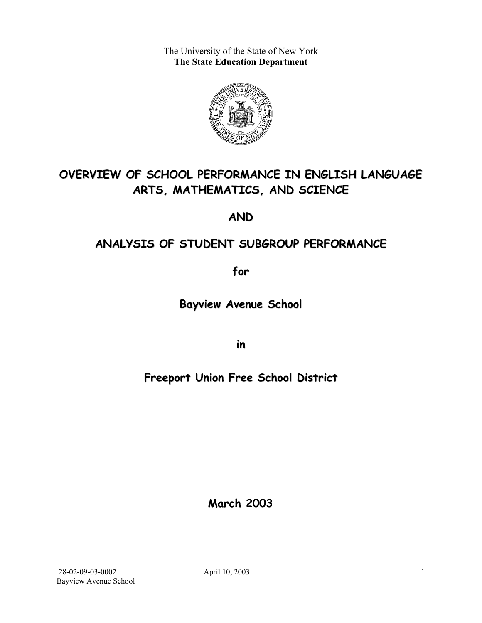The University of the State of New York **The State Education Department** 



# **OVERVIEW OF SCHOOL PERFORMANCE IN ENGLISH LANGUAGE ARTS, MATHEMATICS, AND SCIENCE**

**AND**

# **ANALYSIS OF STUDENT SUBGROUP PERFORMANCE**

**for**

**Bayview Avenue School**

**in**

# **Freeport Union Free School District**

**March 2003**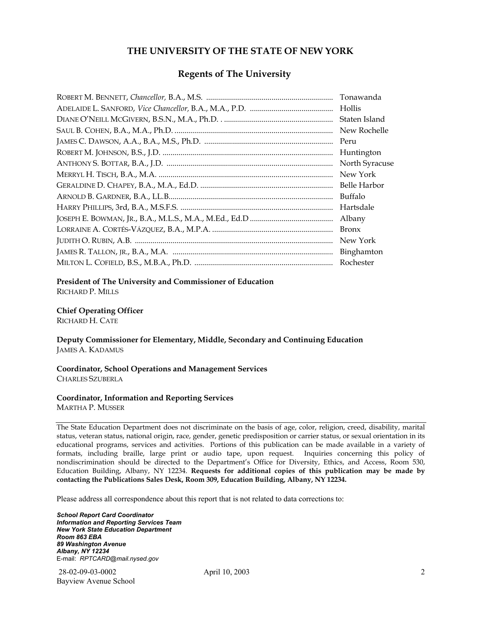#### **THE UNIVERSITY OF THE STATE OF NEW YORK**

#### **Regents of The University**

| Tonawanda      |
|----------------|
| Hollis         |
| Staten Island  |
| New Rochelle   |
| Peru           |
| Huntington     |
| North Syracuse |
| New York       |
| Belle Harbor   |
| Buffalo        |
| Hartsdale      |
| Albany         |
| <b>Bronx</b>   |
| New York       |
| Binghamton     |
| Rochester      |

#### **President of The University and Commissioner of Education**

RICHARD P. MILLS

#### **Chief Operating Officer**

RICHARD H. CATE

**Deputy Commissioner for Elementary, Middle, Secondary and Continuing Education**  JAMES A. KADAMUS

#### **Coordinator, School Operations and Management Services**  CHARLES SZUBERLA

#### **Coordinator, Information and Reporting Services**

MARTHA P. MUSSER

The State Education Department does not discriminate on the basis of age, color, religion, creed, disability, marital status, veteran status, national origin, race, gender, genetic predisposition or carrier status, or sexual orientation in its educational programs, services and activities. Portions of this publication can be made available in a variety of formats, including braille, large print or audio tape, upon request. Inquiries concerning this policy of nondiscrimination should be directed to the Department's Office for Diversity, Ethics, and Access, Room 530, Education Building, Albany, NY 12234. **Requests for additional copies of this publication may be made by contacting the Publications Sales Desk, Room 309, Education Building, Albany, NY 12234.** 

Please address all correspondence about this report that is not related to data corrections to:

*School Report Card Coordinator Information and Reporting Services Team New York State Education Department Room 863 EBA 89 Washington Avenue Albany, NY 12234*  E-mail: *RPTCARD@mail.nysed.gov*

 28-02-09-03-0002 April 10, 2003 Bayview Avenue School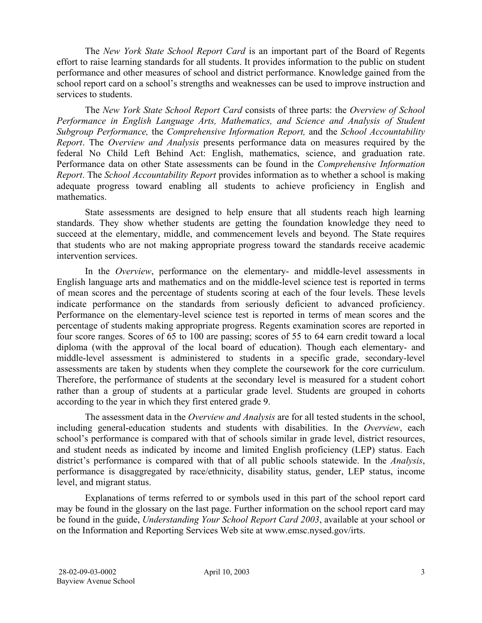The *New York State School Report Card* is an important part of the Board of Regents effort to raise learning standards for all students. It provides information to the public on student performance and other measures of school and district performance. Knowledge gained from the school report card on a school's strengths and weaknesses can be used to improve instruction and services to students.

The *New York State School Report Card* consists of three parts: the *Overview of School Performance in English Language Arts, Mathematics, and Science and Analysis of Student Subgroup Performance,* the *Comprehensive Information Report,* and the *School Accountability Report*. The *Overview and Analysis* presents performance data on measures required by the federal No Child Left Behind Act: English, mathematics, science, and graduation rate. Performance data on other State assessments can be found in the *Comprehensive Information Report*. The *School Accountability Report* provides information as to whether a school is making adequate progress toward enabling all students to achieve proficiency in English and mathematics.

State assessments are designed to help ensure that all students reach high learning standards. They show whether students are getting the foundation knowledge they need to succeed at the elementary, middle, and commencement levels and beyond. The State requires that students who are not making appropriate progress toward the standards receive academic intervention services.

In the *Overview*, performance on the elementary- and middle-level assessments in English language arts and mathematics and on the middle-level science test is reported in terms of mean scores and the percentage of students scoring at each of the four levels. These levels indicate performance on the standards from seriously deficient to advanced proficiency. Performance on the elementary-level science test is reported in terms of mean scores and the percentage of students making appropriate progress. Regents examination scores are reported in four score ranges. Scores of 65 to 100 are passing; scores of 55 to 64 earn credit toward a local diploma (with the approval of the local board of education). Though each elementary- and middle-level assessment is administered to students in a specific grade, secondary-level assessments are taken by students when they complete the coursework for the core curriculum. Therefore, the performance of students at the secondary level is measured for a student cohort rather than a group of students at a particular grade level. Students are grouped in cohorts according to the year in which they first entered grade 9.

The assessment data in the *Overview and Analysis* are for all tested students in the school, including general-education students and students with disabilities. In the *Overview*, each school's performance is compared with that of schools similar in grade level, district resources, and student needs as indicated by income and limited English proficiency (LEP) status. Each district's performance is compared with that of all public schools statewide. In the *Analysis*, performance is disaggregated by race/ethnicity, disability status, gender, LEP status, income level, and migrant status.

Explanations of terms referred to or symbols used in this part of the school report card may be found in the glossary on the last page. Further information on the school report card may be found in the guide, *Understanding Your School Report Card 2003*, available at your school or on the Information and Reporting Services Web site at www.emsc.nysed.gov/irts.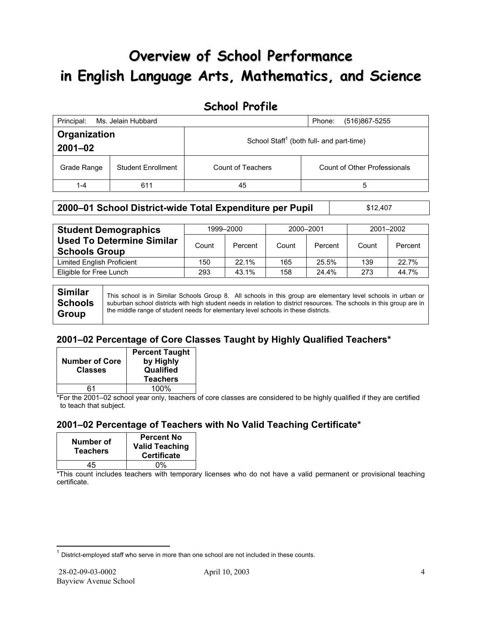# **Overview of School Performance in English Language Arts, Mathematics, and Science**

### **School Profile**

| Principal:                  | Ms. Jelain Hubbard        | (516)867-5255<br>Phone:                              |                                     |  |
|-----------------------------|---------------------------|------------------------------------------------------|-------------------------------------|--|
| Organization<br>$2001 - 02$ |                           | School Staff <sup>1</sup> (both full- and part-time) |                                     |  |
| Grade Range                 | <b>Student Enrollment</b> | Count of Teachers                                    | <b>Count of Other Professionals</b> |  |
| 1-4                         | 611                       | 45                                                   | 5                                   |  |

#### **2000–01 School District-wide Total Expenditure per Pupil | \$12,407**

| <b>Student Demographics</b>                              | 1999-2000 |         | 2000-2001 |         | 2001-2002 |         |
|----------------------------------------------------------|-----------|---------|-----------|---------|-----------|---------|
| <b>Used To Determine Similar</b><br><b>Schools Group</b> | Count     | Percent | Count     | Percent | Count     | Percent |
| Limited English Proficient                               | 150       | 22.1%   | 165       | 25.5%   | 139       | 22.7%   |
| Eligible for Free Lunch                                  | 293       | 43.1%   | 158       | 24.4%   | 273       | 44.7%   |

**Similar Schools Group**  This school is in Similar Schools Group 8. All schools in this group are elementary level schools in urban or suburban school districts with high student needs in relation to district resources. The schools in this group are in the middle range of student needs for elementary level schools in these districts.

### **2001–02 Percentage of Core Classes Taught by Highly Qualified Teachers\***

| <b>Number of Core</b><br><b>Classes</b> | <b>Percent Taught</b><br>by Highly<br>Qualified<br><b>Teachers</b> |
|-----------------------------------------|--------------------------------------------------------------------|
| 61                                      | 100%                                                               |

\*For the 2001–02 school year only, teachers of core classes are considered to be highly qualified if they are certified to teach that subject.

### **2001–02 Percentage of Teachers with No Valid Teaching Certificate\***

| Number of<br><b>Teachers</b> | <b>Percent No</b><br><b>Valid Teaching</b><br><b>Certificate</b> |
|------------------------------|------------------------------------------------------------------|
| 15                           | በ%                                                               |

\*This count includes teachers with temporary licenses who do not have a valid permanent or provisional teaching certificate.

 $\overline{a}$ 

 $1$  District-employed staff who serve in more than one school are not included in these counts.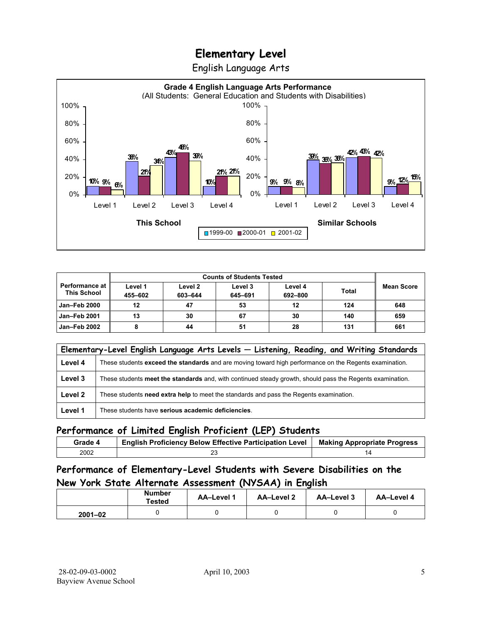English Language Arts



| <b>Counts of Students Tested</b>     |                    |                    |                    |                    |              |            |
|--------------------------------------|--------------------|--------------------|--------------------|--------------------|--------------|------------|
| Performance at<br><b>This School</b> | Level 1<br>455-602 | Level 2<br>603-644 | Level 3<br>645-691 | Level 4<br>692-800 | <b>Total</b> | Mean Score |
| <b>Jan-Feb 2000</b>                  | 12                 | 47                 | 53                 | 12                 | 124          | 648        |
| <b>Jan-Feb 2001</b>                  | 13                 | 30                 | 67                 | 30                 | 140          | 659        |
| Jan-Feb 2002                         |                    | 44                 | 51                 | 28                 | 131          | 661        |

|         | Elementary-Level English Language Arts Levels - Listening, Reading, and Writing Standards                 |  |  |  |  |  |  |
|---------|-----------------------------------------------------------------------------------------------------------|--|--|--|--|--|--|
| Level 4 | These students exceed the standards and are moving toward high performance on the Regents examination.    |  |  |  |  |  |  |
| Level 3 | These students meet the standards and, with continued steady growth, should pass the Regents examination. |  |  |  |  |  |  |
| Level 2 | These students need extra help to meet the standards and pass the Regents examination.                    |  |  |  |  |  |  |
| Level 1 | These students have serious academic deficiencies.                                                        |  |  |  |  |  |  |

### **Performance of Limited English Proficient (LEP) Students**

| Grade 4 | <b>English Proficiency Below Effective Participation Level</b> | <b>Making Appropriate Progress</b> |
|---------|----------------------------------------------------------------|------------------------------------|
| 2002    | ںے                                                             |                                    |

### **Performance of Elementary-Level Students with Severe Disabilities on the New York State Alternate Assessment (NYSAA) in English**

| Number<br>Tested |  | <b>AA-Level 1</b> | AA-Level 2 | AA-Level 3 | AA-Level 4 |
|------------------|--|-------------------|------------|------------|------------|
| $2001 - 02$      |  |                   |            |            |            |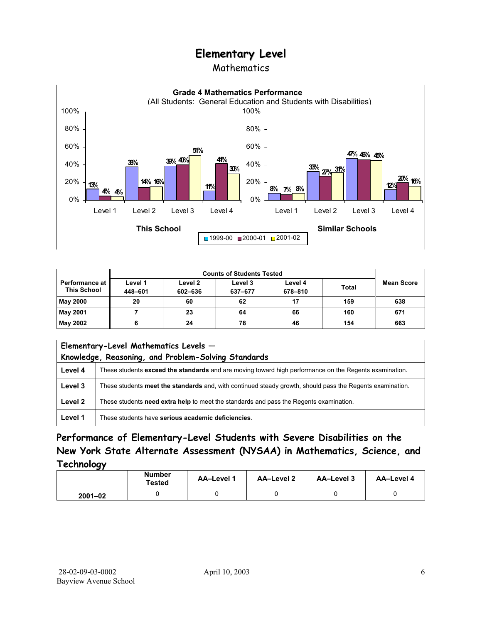#### Mathematics



| <b>Counts of Students Tested</b>            |                    |                    |                    |                    |              |                   |
|---------------------------------------------|--------------------|--------------------|--------------------|--------------------|--------------|-------------------|
| <b>Performance at</b><br><b>This School</b> | Level 1<br>448-601 | Level 2<br>602-636 | Level 3<br>637-677 | Level 4<br>678-810 | <b>Total</b> | <b>Mean Score</b> |
| <b>May 2000</b>                             | 20                 | 60                 | 62                 | 17                 | 159          | 638               |
| May 2001                                    |                    | 23                 | 64                 | 66                 | 160          | 671               |
| May 2002                                    | О                  | 24                 | 78                 | 46                 | 154          | 663               |

| Elementary-Level Mathematics Levels -<br>Knowledge, Reasoning, and Problem-Solving Standards |                                                                                                           |  |  |  |  |
|----------------------------------------------------------------------------------------------|-----------------------------------------------------------------------------------------------------------|--|--|--|--|
| Level 4                                                                                      | These students exceed the standards and are moving toward high performance on the Regents examination.    |  |  |  |  |
| Level 3                                                                                      | These students meet the standards and, with continued steady growth, should pass the Regents examination. |  |  |  |  |
| Level 2                                                                                      | These students need extra help to meet the standards and pass the Regents examination.                    |  |  |  |  |
| Level 1                                                                                      | These students have serious academic deficiencies.                                                        |  |  |  |  |

**Performance of Elementary-Level Students with Severe Disabilities on the New York State Alternate Assessment (NYSAA) in Mathematics, Science, and Technology** 

|             | <b>Number</b><br><b>Tested</b> | AA-Level 1 | <b>AA-Level 2</b> | AA-Level 3 | AA-Level 4 |
|-------------|--------------------------------|------------|-------------------|------------|------------|
| $2001 - 02$ |                                |            |                   |            |            |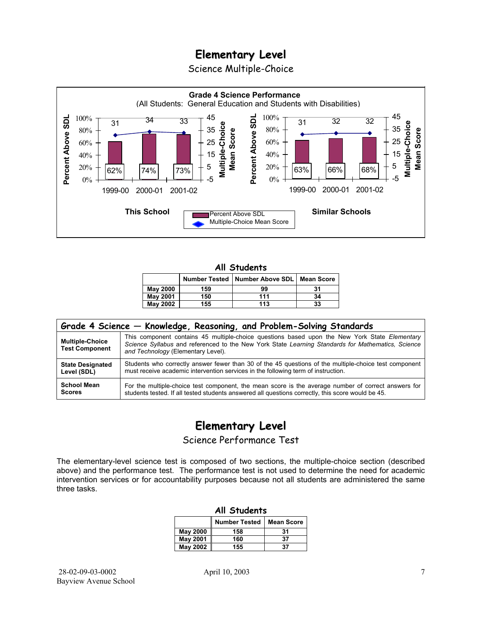Science Multiple-Choice



#### **All Students**

|                 |     | Number Tested   Number Above SDL   Mean Score |    |
|-----------------|-----|-----------------------------------------------|----|
| <b>May 2000</b> | 159 | 99                                            | 31 |
| <b>May 2001</b> | 150 | 111                                           | 34 |
| <b>May 2002</b> | 155 | 113                                           | 33 |

| Grade 4 Science - Knowledge, Reasoning, and Problem-Solving Standards |                                                                                                                                                                                                                                          |  |  |  |  |  |
|-----------------------------------------------------------------------|------------------------------------------------------------------------------------------------------------------------------------------------------------------------------------------------------------------------------------------|--|--|--|--|--|
| <b>Multiple-Choice</b><br><b>Test Component</b>                       | This component contains 45 multiple-choice questions based upon the New York State Elementary<br>Science Syllabus and referenced to the New York State Learning Standards for Mathematics, Science<br>and Technology (Elementary Level). |  |  |  |  |  |
| <b>State Designated</b>                                               | Students who correctly answer fewer than 30 of the 45 questions of the multiple-choice test component                                                                                                                                    |  |  |  |  |  |
| Level (SDL)                                                           | must receive academic intervention services in the following term of instruction.                                                                                                                                                        |  |  |  |  |  |
| <b>School Mean</b>                                                    | For the multiple-choice test component, the mean score is the average number of correct answers for                                                                                                                                      |  |  |  |  |  |
| <b>Scores</b>                                                         | students tested. If all tested students answered all questions correctly, this score would be 45.                                                                                                                                        |  |  |  |  |  |

# **Elementary Level**

Science Performance Test

The elementary-level science test is composed of two sections, the multiple-choice section (described above) and the performance test. The performance test is not used to determine the need for academic intervention services or for accountability purposes because not all students are administered the same three tasks.

| All Students    |                                           |    |  |  |  |  |  |
|-----------------|-------------------------------------------|----|--|--|--|--|--|
|                 | <b>Number Tested</b><br><b>Mean Score</b> |    |  |  |  |  |  |
| May 2000        | 158                                       | 31 |  |  |  |  |  |
| <b>May 2001</b> | 160                                       | 37 |  |  |  |  |  |
| <b>May 2002</b> | 155                                       | 37 |  |  |  |  |  |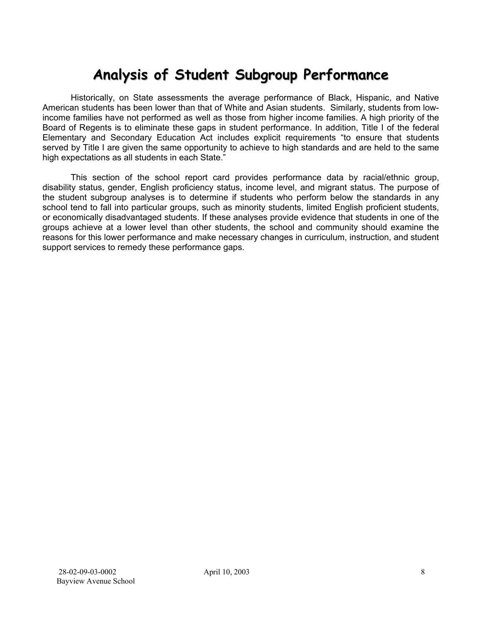# **Analysis of Student Subgroup Performance**

Historically, on State assessments the average performance of Black, Hispanic, and Native American students has been lower than that of White and Asian students. Similarly, students from lowincome families have not performed as well as those from higher income families. A high priority of the Board of Regents is to eliminate these gaps in student performance. In addition, Title I of the federal Elementary and Secondary Education Act includes explicit requirements "to ensure that students served by Title I are given the same opportunity to achieve to high standards and are held to the same high expectations as all students in each State."

This section of the school report card provides performance data by racial/ethnic group, disability status, gender, English proficiency status, income level, and migrant status. The purpose of the student subgroup analyses is to determine if students who perform below the standards in any school tend to fall into particular groups, such as minority students, limited English proficient students, or economically disadvantaged students. If these analyses provide evidence that students in one of the groups achieve at a lower level than other students, the school and community should examine the reasons for this lower performance and make necessary changes in curriculum, instruction, and student support services to remedy these performance gaps.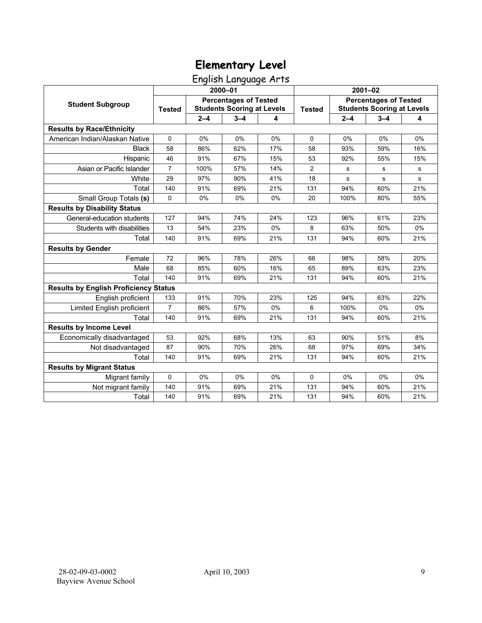English Language Arts

|                                              | 2000-01                                                                            |         |         |               | $2001 - 02$                                                       |         |         |     |
|----------------------------------------------|------------------------------------------------------------------------------------|---------|---------|---------------|-------------------------------------------------------------------|---------|---------|-----|
| <b>Student Subgroup</b>                      | <b>Percentages of Tested</b><br><b>Students Scoring at Levels</b><br><b>Tested</b> |         |         | <b>Tested</b> | <b>Percentages of Tested</b><br><b>Students Scoring at Levels</b> |         |         |     |
|                                              |                                                                                    | $2 - 4$ | $3 - 4$ | 4             |                                                                   | $2 - 4$ | $3 - 4$ | 4   |
| <b>Results by Race/Ethnicity</b>             |                                                                                    |         |         |               |                                                                   |         |         |     |
| American Indian/Alaskan Native               | $\mathbf 0$                                                                        | 0%      | 0%      | 0%            | $\Omega$                                                          | 0%      | 0%      | 0%  |
| <b>Black</b>                                 | 58                                                                                 | 86%     | 62%     | 17%           | 58                                                                | 93%     | 59%     | 16% |
| Hispanic                                     | 46                                                                                 | 91%     | 67%     | 15%           | 53                                                                | 92%     | 55%     | 15% |
| Asian or Pacific Islander                    | $\overline{7}$                                                                     | 100%    | 57%     | 14%           | $\overline{2}$                                                    | s       | s       | s   |
| White                                        | 29                                                                                 | 97%     | 90%     | 41%           | 18                                                                | s       | s       | s   |
| Total                                        | 140                                                                                | 91%     | 69%     | 21%           | 131                                                               | 94%     | 60%     | 21% |
| Small Group Totals (s)                       | $\mathbf 0$                                                                        | 0%      | 0%      | 0%            | 20                                                                | 100%    | 80%     | 55% |
| <b>Results by Disability Status</b>          |                                                                                    |         |         |               |                                                                   |         |         |     |
| General-education students                   | 127                                                                                | 94%     | 74%     | 24%           | 123                                                               | 96%     | 61%     | 23% |
| Students with disabilities                   | 13                                                                                 | 54%     | 23%     | 0%            | 8                                                                 | 63%     | 50%     | 0%  |
| Total                                        | 140                                                                                | 91%     | 69%     | 21%           | 131                                                               | 94%     | 60%     | 21% |
| <b>Results by Gender</b>                     |                                                                                    |         |         |               |                                                                   |         |         |     |
| Female                                       | 72                                                                                 | 96%     | 78%     | 26%           | 66                                                                | 98%     | 58%     | 20% |
| Male                                         | 68                                                                                 | 85%     | 60%     | 16%           | 65                                                                | 89%     | 63%     | 23% |
| Total                                        | 140                                                                                | 91%     | 69%     | 21%           | 131                                                               | 94%     | 60%     | 21% |
| <b>Results by English Proficiency Status</b> |                                                                                    |         |         |               |                                                                   |         |         |     |
| English proficient                           | 133                                                                                | 91%     | 70%     | 23%           | 125                                                               | 94%     | 63%     | 22% |
| Limited English proficient                   | $\overline{7}$                                                                     | 86%     | 57%     | 0%            | 6                                                                 | 100%    | 0%      | 0%  |
| Total                                        | 140                                                                                | 91%     | 69%     | 21%           | 131                                                               | 94%     | 60%     | 21% |
| <b>Results by Income Level</b>               |                                                                                    |         |         |               |                                                                   |         |         |     |
| Economically disadvantaged                   | 53                                                                                 | 92%     | 68%     | 13%           | 63                                                                | 90%     | 51%     | 8%  |
| Not disadvantaged                            | 87                                                                                 | 90%     | 70%     | 26%           | 68                                                                | 97%     | 69%     | 34% |
| Total                                        | 140                                                                                | 91%     | 69%     | 21%           | 131                                                               | 94%     | 60%     | 21% |
| <b>Results by Migrant Status</b>             |                                                                                    |         |         |               |                                                                   |         |         |     |
| Migrant family                               | 0                                                                                  | 0%      | 0%      | 0%            | $\mathbf 0$                                                       | 0%      | 0%      | 0%  |
| Not migrant family                           | 140                                                                                | 91%     | 69%     | 21%           | 131                                                               | 94%     | 60%     | 21% |
| Total                                        | 140                                                                                | 91%     | 69%     | 21%           | 131                                                               | 94%     | 60%     | 21% |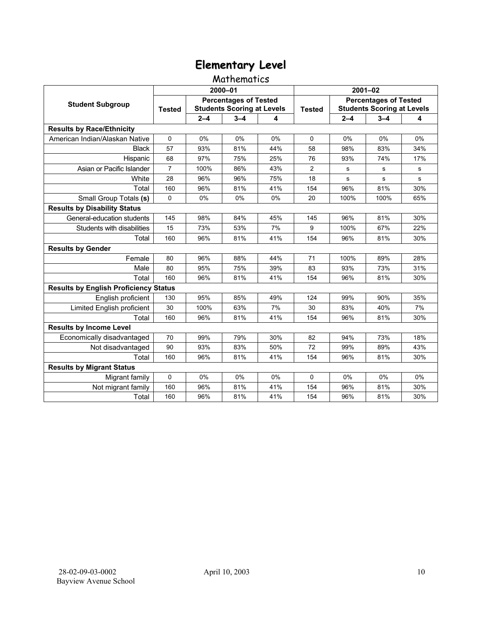### Mathematics

|                                              | 2000-01                                                                            |         |         |               | $2001 - 02$                                                       |             |             |           |
|----------------------------------------------|------------------------------------------------------------------------------------|---------|---------|---------------|-------------------------------------------------------------------|-------------|-------------|-----------|
| <b>Student Subgroup</b>                      | <b>Percentages of Tested</b><br><b>Students Scoring at Levels</b><br><b>Tested</b> |         |         | <b>Tested</b> | <b>Percentages of Tested</b><br><b>Students Scoring at Levels</b> |             |             |           |
|                                              |                                                                                    | $2 - 4$ | $3 - 4$ | 4             |                                                                   | $2 - 4$     | $3 - 4$     | 4         |
| <b>Results by Race/Ethnicity</b>             |                                                                                    |         |         |               |                                                                   |             |             |           |
| American Indian/Alaskan Native               | $\Omega$                                                                           | 0%      | 0%      | 0%            | $\Omega$                                                          | 0%          | 0%          | 0%        |
| <b>Black</b>                                 | 57                                                                                 | 93%     | 81%     | 44%           | 58                                                                | 98%         | 83%         | 34%       |
| Hispanic                                     | 68                                                                                 | 97%     | 75%     | 25%           | 76                                                                | 93%         | 74%         | 17%       |
| Asian or Pacific Islander                    | $\overline{7}$                                                                     | 100%    | 86%     | 43%           | $\overline{2}$                                                    | s           | s           | s         |
| White                                        | 28                                                                                 | 96%     | 96%     | 75%           | 18                                                                | $\mathbf s$ | $\mathbf s$ | ${\bf s}$ |
| Total                                        | 160                                                                                | 96%     | 81%     | 41%           | 154                                                               | 96%         | 81%         | 30%       |
| Small Group Totals (s)                       | 0                                                                                  | 0%      | 0%      | 0%            | 20                                                                | 100%        | 100%        | 65%       |
| <b>Results by Disability Status</b>          |                                                                                    |         |         |               |                                                                   |             |             |           |
| General-education students                   | 145                                                                                | 98%     | 84%     | 45%           | 145                                                               | 96%         | 81%         | 30%       |
| Students with disabilities                   | 15                                                                                 | 73%     | 53%     | 7%            | 9                                                                 | 100%        | 67%         | 22%       |
| Total                                        | 160                                                                                | 96%     | 81%     | 41%           | 154                                                               | 96%         | 81%         | 30%       |
| <b>Results by Gender</b>                     |                                                                                    |         |         |               |                                                                   |             |             |           |
| Female                                       | 80                                                                                 | 96%     | 88%     | 44%           | 71                                                                | 100%        | 89%         | 28%       |
| Male                                         | 80                                                                                 | 95%     | 75%     | 39%           | 83                                                                | 93%         | 73%         | 31%       |
| Total                                        | 160                                                                                | 96%     | 81%     | 41%           | 154                                                               | 96%         | 81%         | 30%       |
| <b>Results by English Proficiency Status</b> |                                                                                    |         |         |               |                                                                   |             |             |           |
| English proficient                           | 130                                                                                | 95%     | 85%     | 49%           | 124                                                               | 99%         | 90%         | 35%       |
| Limited English proficient                   | 30                                                                                 | 100%    | 63%     | 7%            | 30                                                                | 83%         | 40%         | 7%        |
| Total                                        | 160                                                                                | 96%     | 81%     | 41%           | 154                                                               | 96%         | 81%         | 30%       |
| <b>Results by Income Level</b>               |                                                                                    |         |         |               |                                                                   |             |             |           |
| Economically disadvantaged                   | 70                                                                                 | 99%     | 79%     | 30%           | 82                                                                | 94%         | 73%         | 18%       |
| Not disadvantaged                            | 90                                                                                 | 93%     | 83%     | 50%           | 72                                                                | 99%         | 89%         | 43%       |
| Total                                        | 160                                                                                | 96%     | 81%     | 41%           | 154                                                               | 96%         | 81%         | 30%       |
| <b>Results by Migrant Status</b>             |                                                                                    |         |         |               |                                                                   |             |             |           |
| Migrant family                               | 0                                                                                  | 0%      | 0%      | $0\%$         | $\Omega$                                                          | $0\%$       | 0%          | 0%        |
| Not migrant family                           | 160                                                                                | 96%     | 81%     | 41%           | 154                                                               | 96%         | 81%         | 30%       |
| Total                                        | 160                                                                                | 96%     | 81%     | 41%           | 154                                                               | 96%         | 81%         | 30%       |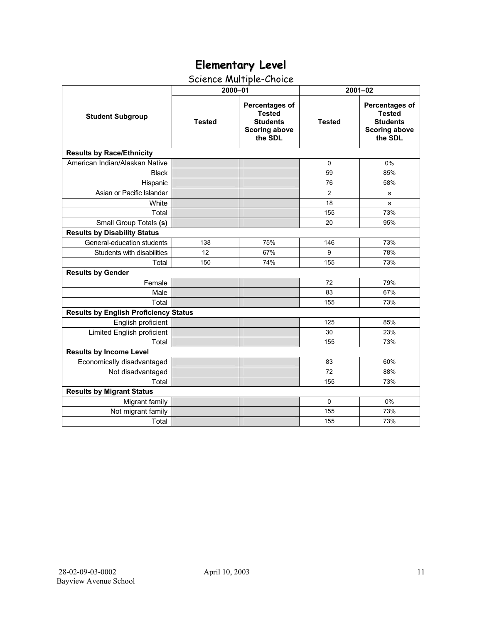# Science Multiple-Choice

|                                              | 2000-01       |                                                                                       | $2001 - 02$    |                                                                                              |  |  |  |
|----------------------------------------------|---------------|---------------------------------------------------------------------------------------|----------------|----------------------------------------------------------------------------------------------|--|--|--|
| <b>Student Subgroup</b>                      | <b>Tested</b> | Percentages of<br><b>Tested</b><br><b>Students</b><br><b>Scoring above</b><br>the SDL | <b>Tested</b>  | <b>Percentages of</b><br><b>Tested</b><br><b>Students</b><br><b>Scoring above</b><br>the SDL |  |  |  |
| <b>Results by Race/Ethnicity</b>             |               |                                                                                       |                |                                                                                              |  |  |  |
| American Indian/Alaskan Native               |               |                                                                                       | 0              | 0%                                                                                           |  |  |  |
| <b>Black</b>                                 |               |                                                                                       | 59             | 85%                                                                                          |  |  |  |
| Hispanic                                     |               |                                                                                       | 76             | 58%                                                                                          |  |  |  |
| Asian or Pacific Islander                    |               |                                                                                       | $\overline{2}$ | s                                                                                            |  |  |  |
| White                                        |               |                                                                                       | 18             | s                                                                                            |  |  |  |
| Total                                        |               |                                                                                       | 155            | 73%                                                                                          |  |  |  |
| Small Group Totals (s)                       |               |                                                                                       | 20             | 95%                                                                                          |  |  |  |
| <b>Results by Disability Status</b>          |               |                                                                                       |                |                                                                                              |  |  |  |
| General-education students                   | 138           | 75%                                                                                   | 146            | 73%                                                                                          |  |  |  |
| Students with disabilities                   | 12            | 67%                                                                                   | 9              | 78%                                                                                          |  |  |  |
| Total                                        | 150           | 74%                                                                                   | 155            | 73%                                                                                          |  |  |  |
| <b>Results by Gender</b>                     |               |                                                                                       |                |                                                                                              |  |  |  |
| Female                                       |               |                                                                                       | 72             | 79%                                                                                          |  |  |  |
| Male                                         |               |                                                                                       | 83             | 67%                                                                                          |  |  |  |
| Total                                        |               |                                                                                       | 155            | 73%                                                                                          |  |  |  |
| <b>Results by English Proficiency Status</b> |               |                                                                                       |                |                                                                                              |  |  |  |
| English proficient                           |               |                                                                                       | 125            | 85%                                                                                          |  |  |  |
| Limited English proficient                   |               |                                                                                       | 30             | 23%                                                                                          |  |  |  |
| Total                                        |               |                                                                                       | 155            | 73%                                                                                          |  |  |  |
| <b>Results by Income Level</b>               |               |                                                                                       |                |                                                                                              |  |  |  |
| Economically disadvantaged                   |               |                                                                                       | 83             | 60%                                                                                          |  |  |  |
| Not disadvantaged                            |               |                                                                                       | 72             | 88%                                                                                          |  |  |  |
| Total                                        |               |                                                                                       | 155            | 73%                                                                                          |  |  |  |
| <b>Results by Migrant Status</b>             |               |                                                                                       |                |                                                                                              |  |  |  |
| Migrant family                               |               |                                                                                       | $\Omega$       | 0%                                                                                           |  |  |  |
| Not migrant family                           |               |                                                                                       | 155            | 73%                                                                                          |  |  |  |
| Total                                        |               |                                                                                       | 155            | 73%                                                                                          |  |  |  |